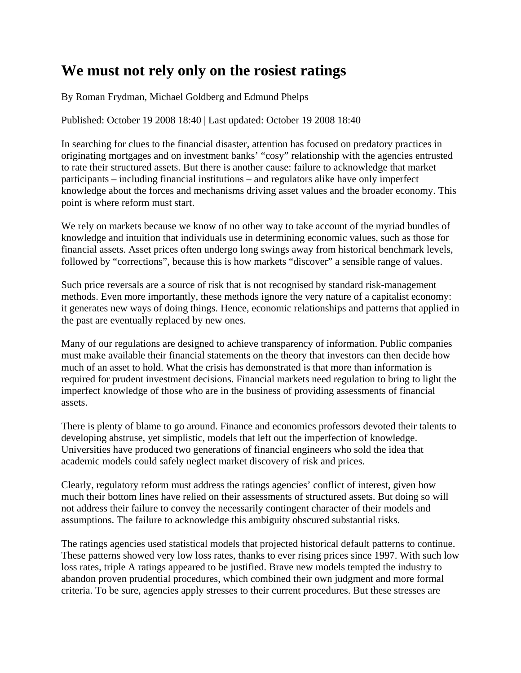## **We must not rely only on the rosiest ratings**

By Roman Frydman, Michael Goldberg and Edmund Phelps

Published: October 19 2008 18:40 | Last updated: October 19 2008 18:40

In searching for clues to the financial disaster, attention has focused on predatory practices in originating mortgages and on investment banks' "cosy" relationship with the agencies entrusted to rate their structured assets. But there is another cause: failure to acknowledge that market participants – including financial institutions – and regulators alike have only imperfect knowledge about the forces and mechanisms driving asset values and the broader economy. This point is where reform must start.

We rely on markets because we know of no other way to take account of the myriad bundles of knowledge and intuition that individuals use in determining economic values, such as those for financial assets. Asset prices often undergo long swings away from historical benchmark levels, followed by "corrections", because this is how markets "discover" a sensible range of values.

Such price reversals are a source of risk that is not recognised by standard risk-management methods. Even more importantly, these methods ignore the very nature of a capitalist economy: it generates new ways of doing things. Hence, economic relationships and patterns that applied in the past are eventually replaced by new ones.

Many of our regulations are designed to achieve transparency of information. Public companies must make available their financial statements on the theory that investors can then decide how much of an asset to hold. What the crisis has demonstrated is that more than information is required for prudent investment decisions. Financial markets need regulation to bring to light the imperfect knowledge of those who are in the business of providing assessments of financial assets.

There is plenty of blame to go around. Finance and economics professors devoted their talents to developing abstruse, yet simplistic, models that left out the imperfection of knowledge. Universities have produced two generations of financial engineers who sold the idea that academic models could safely neglect market discovery of risk and prices.

Clearly, regulatory reform must address the ratings agencies' conflict of interest, given how much their bottom lines have relied on their assessments of structured assets. But doing so will not address their failure to convey the necessarily contingent character of their models and assumptions. The failure to acknowledge this ambiguity obscured substantial risks.

The ratings agencies used statistical models that projected historical default patterns to continue. These patterns showed very low loss rates, thanks to ever rising prices since 1997. With such low loss rates, triple A ratings appeared to be justified. Brave new models tempted the industry to abandon proven prudential procedures, which combined their own judgment and more formal criteria. To be sure, agencies apply stresses to their current procedures. But these stresses are